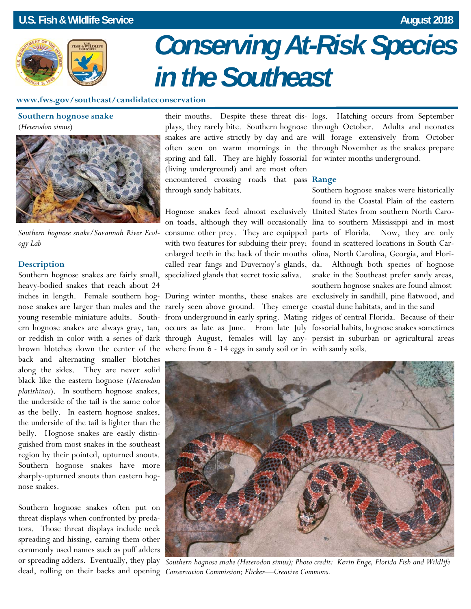## **U.S. Fish & Wildlife Service August 2018** *U.S. Fish & Wildlife Service* **August 2018**



# *Conserving At-Risk Species in the Southeast*

## **www.fws.gov/southeast/candidateconservation**

**Southern hognose snake** (*Heterodon simus*)



*Southern hognose snake/Savannah River Ecology Lab* 

## **Description**

heavy-bodied snakes that reach about 24 nose snakes are larger than males and the rarely seen above ground. They emerge coastal dune habitats, and in the sand brown blotches down the center of the where from 6 - 14 eggs in sandy soil or in with sandy soils. back and alternating smaller blotches along the sides. They are never solid black like the eastern hognose (*Heterodon platirhinos*). In southern hognose snakes, the underside of the tail is the same color as the belly. In eastern hognose snakes, the underside of the tail is lighter than the belly. Hognose snakes are easily distinguished from most snakes in the southeast region by their pointed, upturned snouts. Southern hognose snakes have more sharply-upturned snouts than eastern hognose snakes.

Southern hognose snakes often put on threat displays when confronted by predators. Those threat displays include neck spreading and hissing, earning them other commonly used names such as puff adders or spreading adders. Eventually, they play

spring and fall. They are highly fossorial for winter months underground. (living underground) and are most often encountered crossing roads that pass **Range**  through sandy habitats.

Southern hognose snakes are fairly small, specialized glands that secret toxic saliva. with two features for subduing their prey; found in scattered locations in South Carenlarged teeth in the back of their mouths olina, North Carolina, Georgia, and Flori-

their mouths. Despite these threat dis-logs. Hatching occurs from September plays, they rarely bite. Southern hognose through October. Adults and neonates snakes are active strictly by day and are will forage extensively from October often seen on warm mornings in the through November as the snakes prepare

inches in length. Female southern hog-During winter months, these snakes are exclusively in sandhill, pine flatwood, and young resemble miniature adults. South-from underground in early spring. Mating ridges of central Florida. Because of their ern hognose snakes are always gray, tan, occurs as late as June. From late July fossorial habits, hognose snakes sometimes or reddish in color with a series of dark through August, females will lay any-persist in suburban or agricultural areas Hognose snakes feed almost exclusively United States from southern North Caroon toads, although they will occasionally lina to southern Mississippi and in most consume other prey. They are equipped parts of Florida. Now, they are only called rear fangs and Duvernoy's glands, da. Although both species of hognose Southern hognose snakes were historically found in the Coastal Plain of the eastern snake in the Southeast prefer sandy areas, southern hognose snakes are found almost



dead, rolling on their backs and opening *Conservation Commission; Flicker—Creative Commons. Southern hognose snake (Heterodon simus); Photo credit: Kevin Enge, Florida Fish and Wildlife*